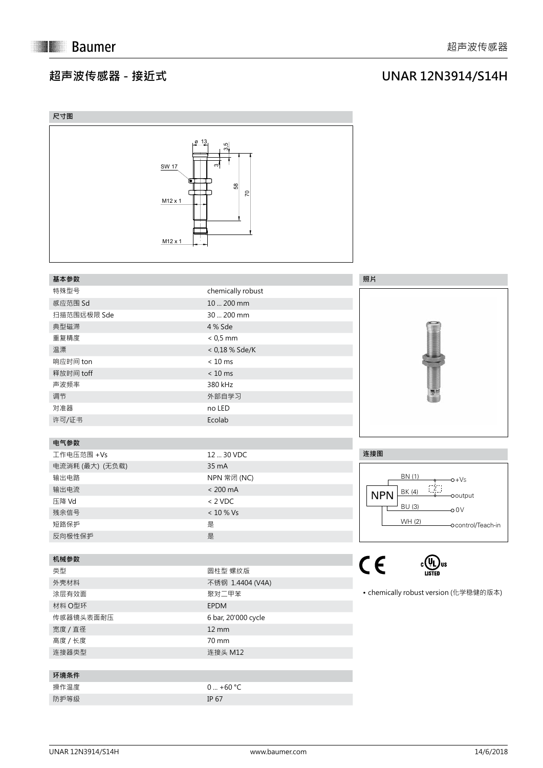## **超声波传感器 - 接近式**

## **UNAR 12N3914/S14H**

| 尺寸图             |                                                                                                                   |                                       |
|-----------------|-------------------------------------------------------------------------------------------------------------------|---------------------------------------|
|                 | <u>ø 13</u><br>3.5<br>ന്<br><b>SW 17</b><br>$\bullet$ $\Box$<br>58<br>$\overline{2}$<br>$M12 \times 1$<br>M12 x 1 |                                       |
| 基本参数            |                                                                                                                   | 照片                                    |
| 特殊型号            | chemically robust                                                                                                 |                                       |
| 感应范围 Sd         | 10  200 mm                                                                                                        |                                       |
| 扫描范围远极限 Sde     | 30  200 mm                                                                                                        |                                       |
| 典型磁滞            | 4 % Sde                                                                                                           |                                       |
| 重复精度            | $< 0.5$ mm                                                                                                        |                                       |
| 温漂              | $< 0.18 %$ Sde/K                                                                                                  |                                       |
| 响应时间 ton        | $< 10$ ms                                                                                                         |                                       |
| 释放时间 toff       | $< 10$ ms                                                                                                         |                                       |
| 声波频率            | 380 kHz                                                                                                           |                                       |
| 调节              | 外部自学习                                                                                                             | 噪                                     |
| 对准器             | no LED                                                                                                            |                                       |
| 许可/证书           | Ecolab                                                                                                            |                                       |
|                 |                                                                                                                   |                                       |
| 电气参数            |                                                                                                                   |                                       |
| 工作电压范围 +Vs      | 12  30 VDC                                                                                                        | 连接图                                   |
| 电流消耗 (最大) (无负载) | 35 mA                                                                                                             |                                       |
| 输出电路            | NPN 常闭 (NC)                                                                                                       | BN (1)<br>$-0+Vs$                     |
| 输出电流            | $< 200 \text{ mA}$                                                                                                | $Z$ .<br>BK (4)<br><b>NPN</b>         |
| 压降 Vd           | $< 2$ VDC                                                                                                         | -ooutput<br>BU (3)                    |
| 残余信号            | $<10$ % Vs                                                                                                        | $-00V$                                |
| 短路保护            | 是                                                                                                                 | WH (2)<br>-ocontrol/Teach-in          |
| 反向极性保护          | 是                                                                                                                 |                                       |
|                 |                                                                                                                   |                                       |
| 机械参数            |                                                                                                                   | $C \in$                               |
| 类型              | 圆柱型 螺纹版                                                                                                           | <b>LISTED</b>                         |
| 外壳材料            | 不锈钢 1.4404 (V4A)                                                                                                  |                                       |
| 涂层有效面           | 聚对二甲苯                                                                                                             | • chemically robust version (化学稳健的版本) |
| 材料 O型环          | EPDM                                                                                                              |                                       |
| 传感器镜头表面耐压       | 6 bar, 20'000 cycle                                                                                               |                                       |
| 宽度 / 直径         | $12 \, \text{mm}$                                                                                                 |                                       |
| 高度 / 长度         | 70 mm                                                                                                             |                                       |
| 连接器类型           | 连接头 M12                                                                                                           |                                       |
|                 |                                                                                                                   |                                       |
| 环境条件            |                                                                                                                   |                                       |
| 操作温度            | $0  +60 °C$                                                                                                       |                                       |
| 防护等级            | IP 67                                                                                                             |                                       |